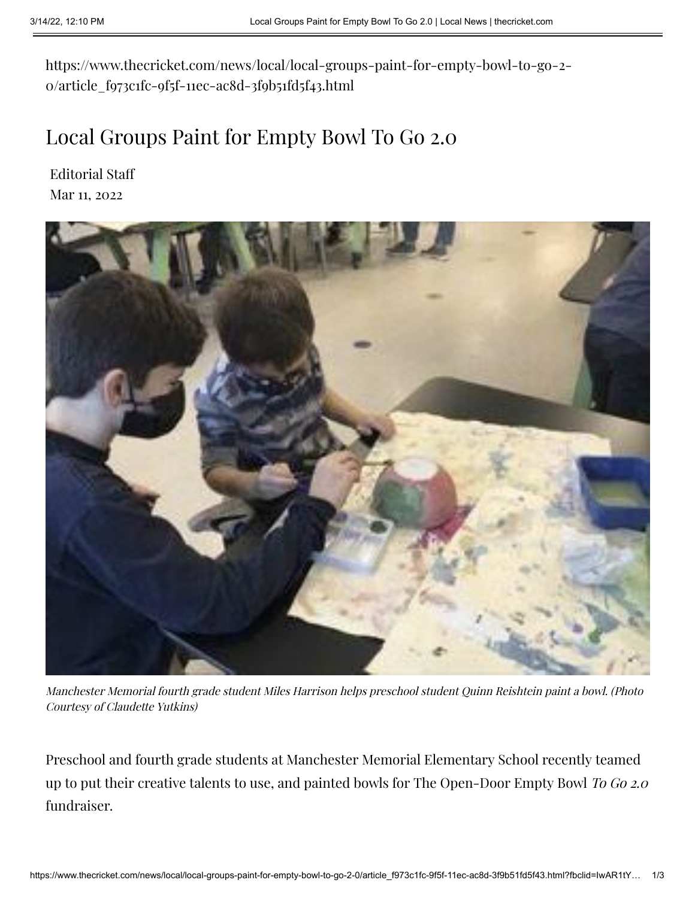https://www.thecricket.com/news/local/local-groups-paint-for-empty-bowl-to-go-2- 0/article\_f973c1fc-9f5f-11ec-ac8d-3f9b51fd5f43.html

## Local Groups Paint for Empty Bowl To Go 2.0

[Editorial](https://www.thecricket.com/users/profile/Editorial%20Staff) Staff Mar 11, 2022



Manchester Memorial fourth grade student Miles Harrison helps preschool student Quinn Reishtein paint <sup>a</sup> bowl. (Photo Courtesy of Claudette Yutkins)

Preschool and fourth grade students at Manchester Memorial Elementary School recently teamed up to put their creative talents to use, and painted bowls for The Open-Door Empty Bowl To Go 2.0 fundraiser.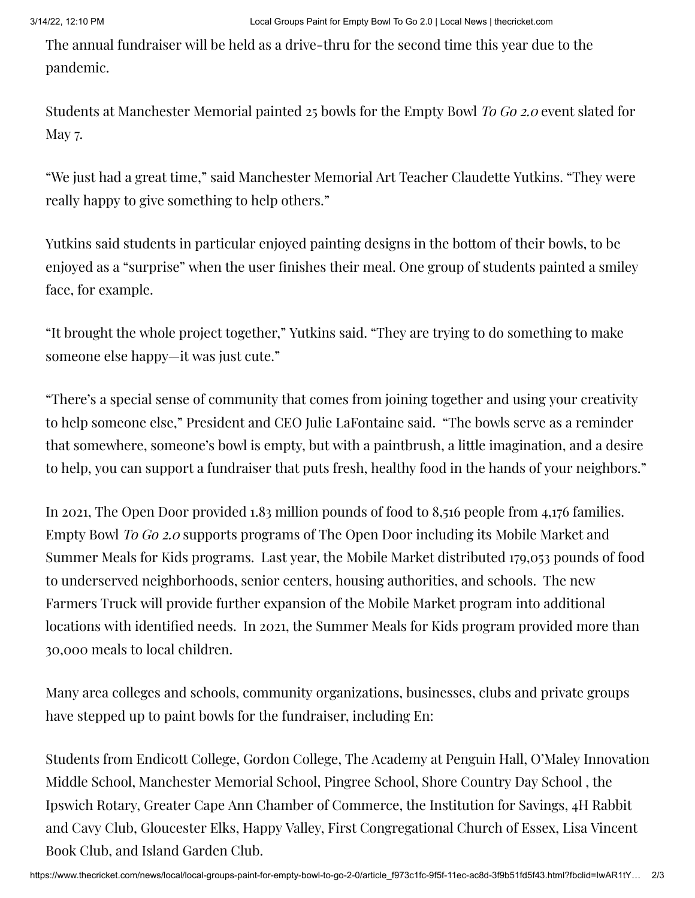The annual fundraiser will be held as a drive-thru for the second time this year due to the pandemic.

Students at Manchester Memorial painted 25 bowls for the Empty Bowl To Go 2.0 event slated for May 7.

"We just had a great time," said Manchester Memorial Art Teacher Claudette Yutkins. "They were really happy to give something to help others."

Yutkins said students in particular enjoyed painting designs in the bottom of their bowls, to be enjoyed as a "surprise" when the user finishes their meal. One group of students painted a smiley face, for example.

"It brought the whole project together," Yutkins said. "They are trying to do something to make someone else happy—it was just cute."

"There's a special sense of community that comes from joining together and using your creativity to help someone else," President and CEO Julie LaFontaine said. "The bowls serve as a reminder that somewhere, someone's bowl is empty, but with a paintbrush, a little imagination, and a desire to help, you can support a fundraiser that puts fresh, healthy food in the hands of your neighbors."

In 2021, The Open Door provided 1.83 million pounds of food to 8,516 people from 4,176 families. Empty Bowl To Go 2.0 supports programs of The Open Door including its Mobile Market and Summer Meals for Kids programs. Last year, the Mobile Market distributed 179,053 pounds of food to underserved neighborhoods, senior centers, housing authorities, and schools. The new Farmers Truck will provide further expansion of the Mobile Market program into additional locations with identified needs. In 2021, the Summer Meals for Kids program provided more than 30,000 meals to local children.

Many area colleges and schools, community organizations, businesses, clubs and private groups have stepped up to paint bowls for the fundraiser, including En:

Students from Endicott College, Gordon College, The Academy at Penguin Hall, O'Maley Innovation Middle School, Manchester Memorial School, Pingree School, Shore Country Day School , the Ipswich Rotary, Greater Cape Ann Chamber of Commerce, the Institution for Savings, 4H Rabbit and Cavy Club, Gloucester Elks, Happy Valley, First Congregational Church of Essex, Lisa Vincent Book Club, and Island Garden Club.